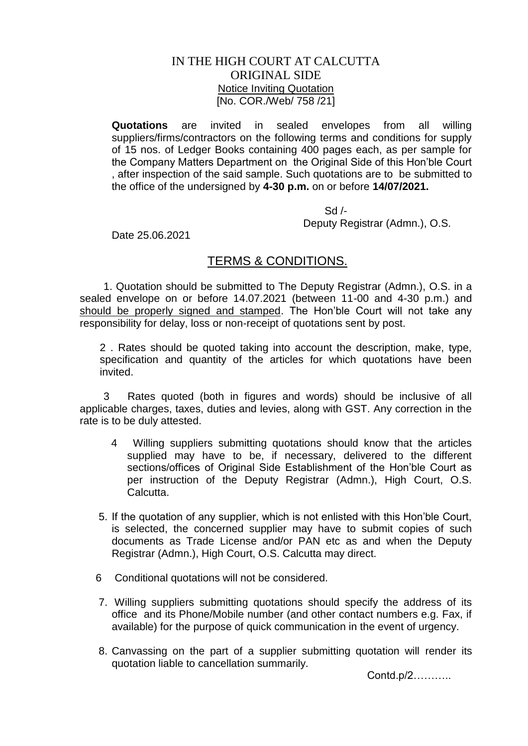## IN THE HIGH COURT AT CALCUTTA ORIGINAL SIDE Notice Inviting Quotation [No. COR./Web/ 758 /21]

**Quotations** are invited in sealed envelopes from all willing suppliers/firms/contractors on the following terms and conditions for supply of 15 nos. of Ledger Books containing 400 pages each, as per sample for the Company Matters Department on the Original Side of this Hon'ble Court , after inspection of the said sample. Such quotations are to be submitted to the office of the undersigned by **4-30 p.m.** on or before **14/07/2021.**

> $Sd$  /-Deputy Registrar (Admn.), O.S.

Date 25.06.2021

## TERMS & CONDITIONS.

 1. Quotation should be submitted to The Deputy Registrar (Admn.), O.S. in a sealed envelope on or before 14.07.2021 (between 11-00 and 4-30 p.m.) and should be properly signed and stamped. The Hon'ble Court will not take any responsibility for delay, loss or non-receipt of quotations sent by post.

2 . Rates should be quoted taking into account the description, make, type, specification and quantity of the articles for which quotations have been invited.

 3 Rates quoted (both in figures and words) should be inclusive of all applicable charges, taxes, duties and levies, along with GST. Any correction in the rate is to be duly attested.

- 4 Willing suppliers submitting quotations should know that the articles supplied may have to be, if necessary, delivered to the different sections/offices of Original Side Establishment of the Hon'ble Court as per instruction of the Deputy Registrar (Admn.), High Court, O.S. **Calcutta**
- 5. If the quotation of any supplier, which is not enlisted with this Hon'ble Court, is selected, the concerned supplier may have to submit copies of such documents as Trade License and/or PAN etc as and when the Deputy Registrar (Admn.), High Court, O.S. Calcutta may direct.
- 6 Conditional quotations will not be considered.
- 7. Willing suppliers submitting quotations should specify the address of its office and its Phone/Mobile number (and other contact numbers e.g. Fax, if available) for the purpose of quick communication in the event of urgency.
- 8. Canvassing on the part of a supplier submitting quotation will render its quotation liable to cancellation summarily.

Contd.p/2………..